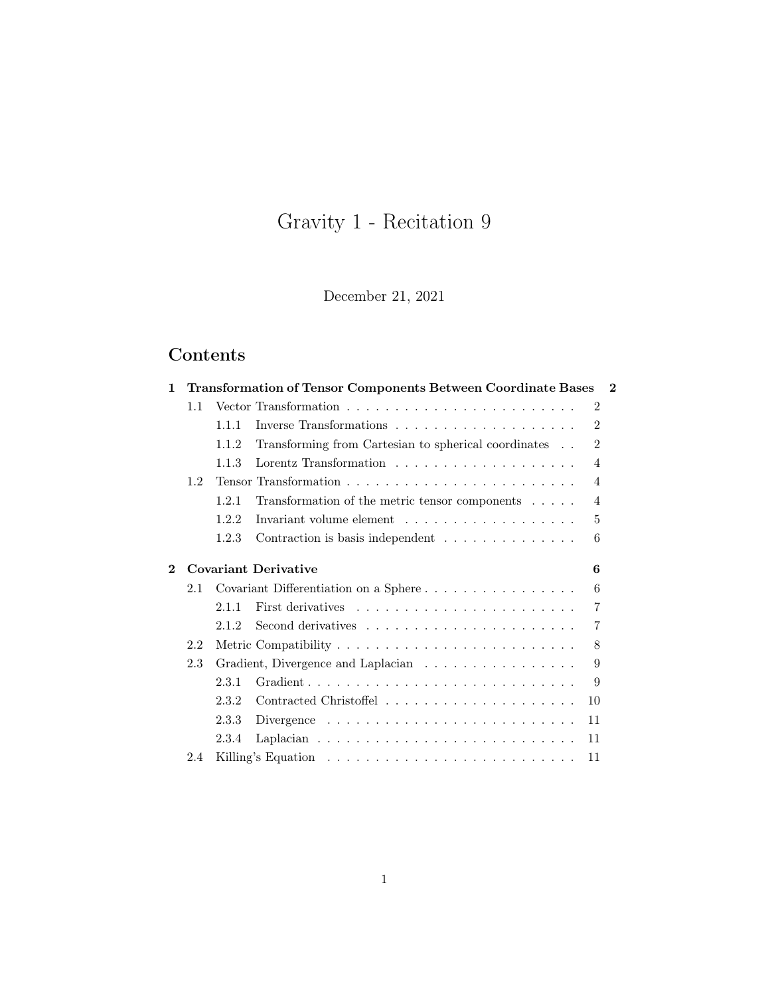# Gravity 1 - Recitation 9

December 21, 2021

## Contents

| 1        |     |       | Transformation of Tensor Components Between Coordinate Bases               | $\bf{2}$ |
|----------|-----|-------|----------------------------------------------------------------------------|----------|
|          | 1.1 |       | 2                                                                          |          |
|          |     | 1.1.1 | $\mathfrak{D}$                                                             |          |
|          |     | 1.1.2 | $\overline{2}$<br>Transforming from Cartesian to spherical coordinates     |          |
|          |     | 1.1.3 | 4                                                                          |          |
|          | 1.2 |       | 4                                                                          |          |
|          |     | 1.2.1 | Transformation of the metric tensor components<br>4                        |          |
|          |     | 1.2.2 | 5                                                                          |          |
|          |     | 1.2.3 | Contraction is basis independent<br>6                                      |          |
| $\bf{2}$ |     |       | <b>Covariant Derivative</b><br>6                                           |          |
|          | 2.1 |       | Covariant Differentiation on a Sphere<br>6                                 |          |
|          |     | 2.1.1 | 7                                                                          |          |
|          |     | 2.1.2 | 7                                                                          |          |
|          | 2.2 |       | 8                                                                          |          |
|          | 2.3 |       | 9<br>Gradient, Divergence and Laplacian                                    |          |
|          |     | 2.3.1 | 9                                                                          |          |
|          |     | 2.3.2 | 10                                                                         |          |
|          |     | 2.3.3 | Divergence $\ldots \ldots \ldots \ldots \ldots \ldots \ldots \ldots$<br>11 |          |
|          |     | 2.3.4 | 11                                                                         |          |
|          | 2.4 |       | 11                                                                         |          |
|          |     |       |                                                                            |          |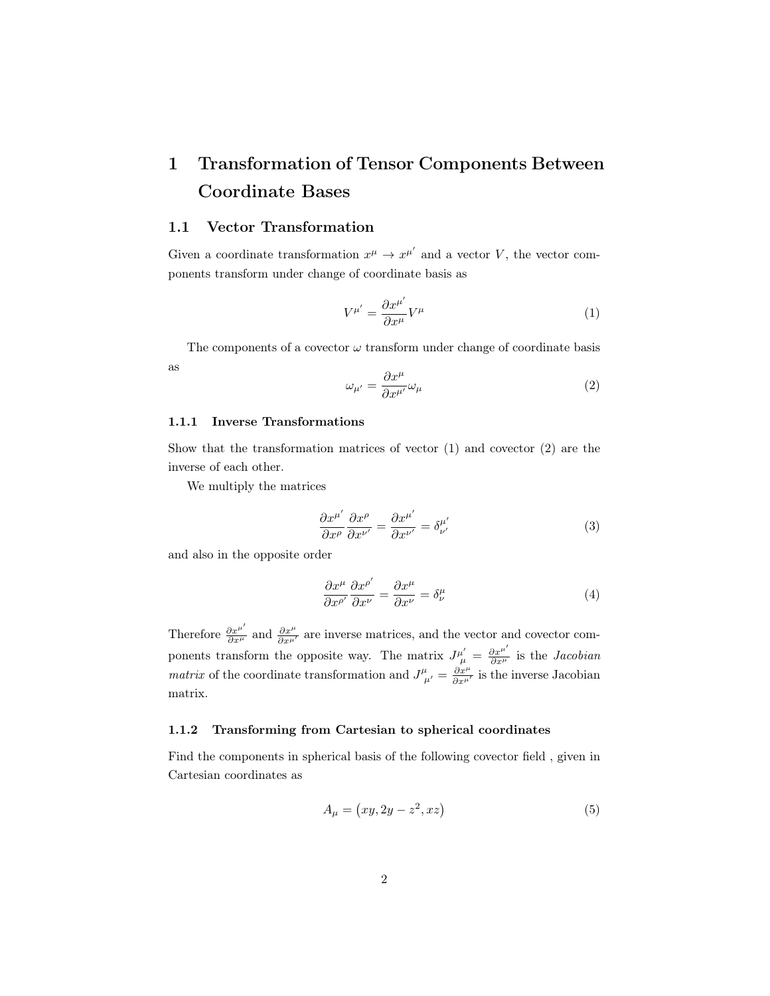## <span id="page-1-0"></span>1 Transformation of Tensor Components Between Coordinate Bases

### <span id="page-1-1"></span>1.1 Vector Transformation

Given a coordinate transformation  $x^{\mu} \to x^{\mu'}$  and a vector V, the vector components transform under change of coordinate basis as

<span id="page-1-4"></span>
$$
V^{\mu'} = \frac{\partial x^{\mu'}}{\partial x^{\mu}} V^{\mu} \tag{1}
$$

The components of a covector  $\omega$  transform under change of coordinate basis as

<span id="page-1-5"></span>
$$
\omega_{\mu'} = \frac{\partial x^{\mu}}{\partial x^{\mu'}} \omega_{\mu}
$$
\n(2)

#### <span id="page-1-2"></span>1.1.1 Inverse Transformations

Show that the transformation matrices of vector [\(1\)](#page-1-4) and covector [\(2\)](#page-1-5) are the inverse of each other.

We multiply the matrices

$$
\frac{\partial x^{\mu'}}{\partial x^{\rho}} \frac{\partial x^{\rho}}{\partial x^{\nu'}} = \frac{\partial x^{\mu'}}{\partial x^{\nu'}} = \delta^{\mu'}_{\nu'} \tag{3}
$$

and also in the opposite order

$$
\frac{\partial x^{\mu}}{\partial x^{\rho'}} \frac{\partial x^{\rho'}}{\partial x^{\nu}} = \frac{\partial x^{\mu}}{\partial x^{\nu}} = \delta^{\mu}_{\nu}
$$
 (4)

Therefore  $\frac{\partial x^{\mu'}}{\partial x^{\mu'}}$  and  $\frac{\partial x^{\mu}}{\partial x^{\mu'}}$  are inverse matrices, and the vector and covector components transform the opposite way. The matrix  $J^{\mu'}_{\mu} = \frac{\partial x^{\mu'}}{\partial x^{\mu}}$  is the *Jacobian matrix* of the coordinate transformation and  $J^{\mu}_{\mu'} = \frac{\partial x^{\mu}}{\partial x^{\mu'}}$  is the inverse Jacobian matrix.

### <span id="page-1-3"></span>1.1.2 Transforming from Cartesian to spherical coordinates

Find the components in spherical basis of the following covector field , given in Cartesian coordinates as

<span id="page-1-6"></span>
$$
A_{\mu} = \left(xy, 2y - z^2, xz\right) \tag{5}
$$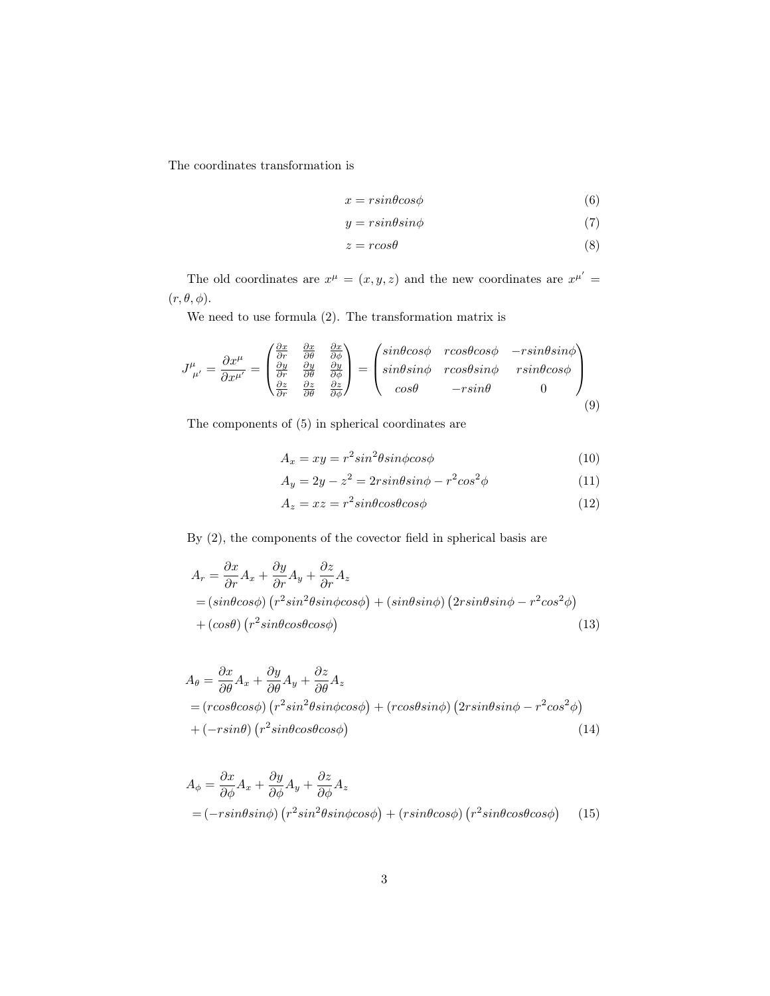The coordinates transformation is

$$
x = r \sin \theta \cos \phi \tag{6}
$$

$$
y = r \sin \theta \sin \phi \tag{7}
$$

$$
z = r\cos\theta\tag{8}
$$

The old coordinates are  $x^{\mu} = (x, y, z)$  and the new coordinates are  $x^{\mu'} =$  $(r, \theta, \phi)$ .

We need to use formula [\(2\)](#page-1-5). The transformation matrix is

$$
J^{\mu}_{\ \mu'} = \frac{\partial x^{\mu}}{\partial x^{\mu'}} = \begin{pmatrix} \frac{\partial x}{\partial r} & \frac{\partial x}{\partial \theta} & \frac{\partial x}{\partial \phi} \\ \frac{\partial y}{\partial r} & \frac{\partial y}{\partial \theta} & \frac{\partial y}{\partial \phi} \\ \frac{\partial z}{\partial r} & \frac{\partial z}{\partial \theta} & \frac{\partial z}{\partial \phi} \end{pmatrix} = \begin{pmatrix} sin\theta cos\phi & rcos\theta cos\phi & -rsin\theta sin\phi \\ sin\theta sin\phi & rcos\theta sin\phi & rsin\theta cos\phi \\ cos\theta & -rsin\theta & 0 \end{pmatrix}
$$
(9)

The components of [\(5\)](#page-1-6) in spherical coordinates are

$$
A_x = xy = r^2 \sin^2 \theta \sin \phi \cos \phi \tag{10}
$$

$$
A_y = 2y - z^2 = 2r\sin\theta\sin\phi - r^2\cos^2\phi\tag{11}
$$

$$
A_z = xz = r^2 \sin\theta \cos\theta \cos\phi \tag{12}
$$

By [\(2\)](#page-1-5), the components of the covector field in spherical basis are

$$
A_r = \frac{\partial x}{\partial r} A_x + \frac{\partial y}{\partial r} A_y + \frac{\partial z}{\partial r} A_z
$$
  
=  $(\sin\theta\cos\phi) (r^2 \sin^2\theta\sin\phi\cos\phi) + (\sin\theta\sin\phi) (2r\sin\theta\sin\phi - r^2\cos^2\phi)$   
+  $(\cos\theta) (r^2 \sin\theta\cos\theta\cos\phi)$  (13)

$$
A_{\theta} = \frac{\partial x}{\partial \theta} A_x + \frac{\partial y}{\partial \theta} A_y + \frac{\partial z}{\partial \theta} A_z
$$
  
=  $(r\cos\theta\cos\phi) (r^2\sin^2\theta\sin\phi\cos\phi) + (r\cos\theta\sin\phi) (2r\sin\theta\sin\phi - r^2\cos^2\phi)$   
+  $(-r\sin\theta) (r^2\sin\theta\cos\theta\cos\phi)$  (14)

$$
A_{\phi} = \frac{\partial x}{\partial \phi} A_x + \frac{\partial y}{\partial \phi} A_y + \frac{\partial z}{\partial \phi} A_z
$$
  
=  $(-r \sin \theta \sin \phi) (r^2 \sin^2 \theta \sin \phi \cos \phi) + (r \sin \theta \cos \phi) (r^2 \sin \theta \cos \theta \cos \phi)$  (15)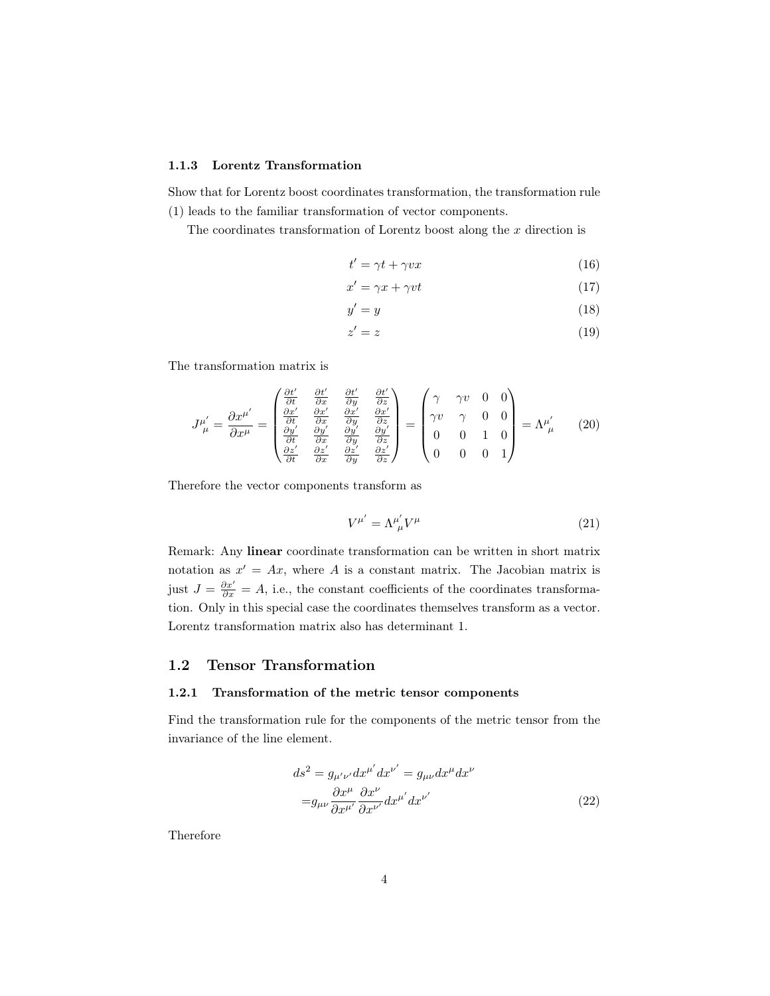### <span id="page-3-0"></span>1.1.3 Lorentz Transformation

Show that for Lorentz boost coordinates transformation, the transformation rule [\(1\)](#page-1-4) leads to the familiar transformation of vector components.

The coordinates transformation of Lorentz boost along the  $x$  direction is

$$
t' = \gamma t + \gamma vx \tag{16}
$$

$$
x' = \gamma x + \gamma vt \tag{17}
$$

$$
y' = y \tag{18}
$$

$$
z' = z \tag{19}
$$

The transformation matrix is

$$
J^{\mu'}_{\ \mu} = \frac{\partial x^{\mu'}}{\partial x^{\mu}} = \begin{pmatrix} \frac{\partial t'}{\partial t} & \frac{\partial t'}{\partial x} & \frac{\partial t'}{\partial y} & \frac{\partial t'}{\partial z} \\ \frac{\partial x'}{\partial t} & \frac{\partial x'}{\partial x} & \frac{\partial x'}{\partial y} & \frac{\partial x'}{\partial z} \\ \frac{\partial y'}{\partial t} & \frac{\partial y'}{\partial x} & \frac{\partial y'}{\partial y} & \frac{\partial y'}{\partial z} \\ \frac{\partial z'}{\partial t} & \frac{\partial z'}{\partial x} & \frac{\partial z'}{\partial y} & \frac{\partial z'}{\partial z} \end{pmatrix} = \begin{pmatrix} \gamma & \gamma v & 0 & 0 \\ \gamma v & \gamma & 0 & 0 \\ 0 & 0 & 1 & 0 \\ 0 & 0 & 0 & 1 \end{pmatrix} = \Lambda^{\mu'}_{\ \mu} \tag{20}
$$

Therefore the vector components transform as

$$
V^{\mu'} = \Lambda^{\mu'}_{\ \mu} V^{\mu} \tag{21}
$$

Remark: Any linear coordinate transformation can be written in short matrix notation as  $x' = Ax$ , where A is a constant matrix. The Jacobian matrix is just  $J = \frac{\partial x'}{\partial x} = A$ , i.e., the constant coefficients of the coordinates transformation. Only in this special case the coordinates themselves transform as a vector. Lorentz transformation matrix also has determinant 1.

### <span id="page-3-1"></span>1.2 Tensor Transformation

### <span id="page-3-2"></span>1.2.1 Transformation of the metric tensor components

Find the transformation rule for the components of the metric tensor from the invariance of the line element.

$$
ds^{2} = g_{\mu'\nu'}dx^{\mu'}dx^{\nu'} = g_{\mu\nu}dx^{\mu}dx^{\nu}
$$

$$
= g_{\mu\nu}\frac{\partial x^{\mu}}{\partial x^{\mu'}}\frac{\partial x^{\nu}}{\partial x^{\nu'}}dx^{\mu'}dx^{\nu'}
$$
(22)

Therefore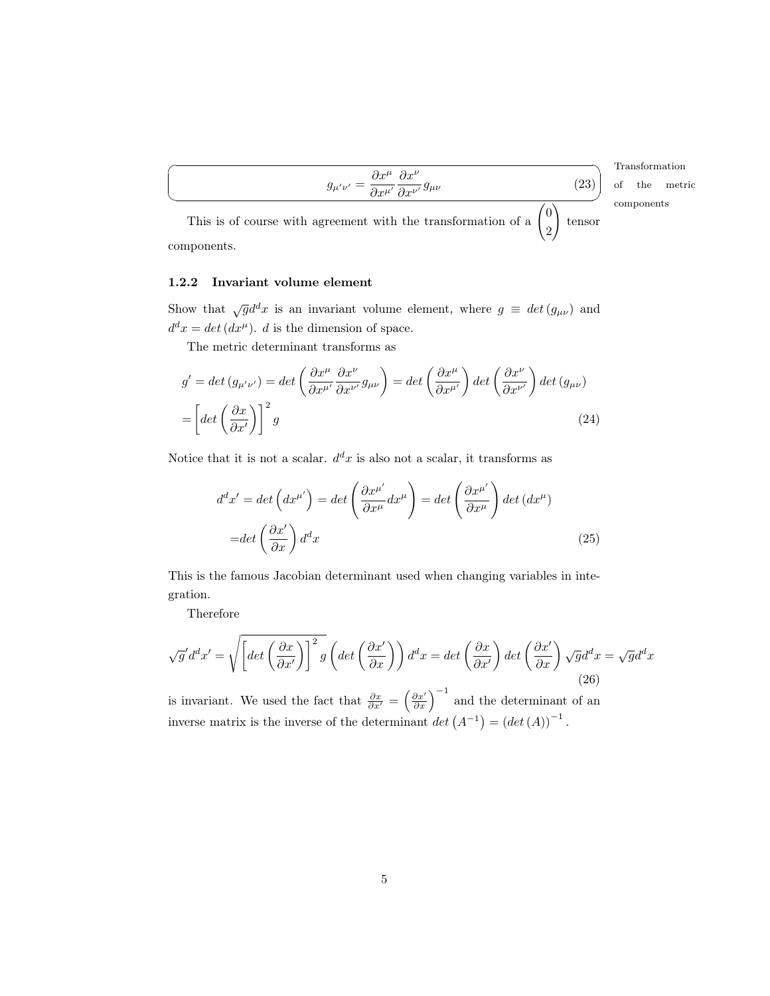Transformation ✠ components of the metric

This is of course with agreement with the transformation of a 0 2  $\setminus$ tensor components.

 $\partial x^{\mu'}$ 

 $\partial x^{\nu}$ 

 $\frac{\partial w}{\partial x^{\nu'}} g_{\mu\nu}$  (23)

 $g_{\mu'\nu'}=\frac{\partial x^\mu}{\partial x^{\mu'}}$ 

### <span id="page-4-0"></span>1.2.2 Invariant volume element

 $\overline{a}$ 

 $\searrow$ 

Show that  $\sqrt{g}d^dx$  is an invariant volume element, where  $g \equiv det(g_{\mu\nu})$  and  $d^d x = det(dx^{\mu})$ . d is the dimension of space.

The metric determinant transforms as

$$
g' = \det (g_{\mu'\nu'}) = \det \left(\frac{\partial x^{\mu}}{\partial x^{\mu'}} \frac{\partial x^{\nu}}{\partial x^{\nu'}} g_{\mu\nu}\right) = \det \left(\frac{\partial x^{\mu}}{\partial x^{\mu'}}\right) \det \left(\frac{\partial x^{\nu}}{\partial x^{\nu'}}\right) \det (g_{\mu\nu})
$$

$$
= \left[\det \left(\frac{\partial x}{\partial x'}\right)\right]^{2} g \tag{24}
$$

Notice that it is not a scalar.  $d^d x$  is also not a scalar, it transforms as

$$
d^{d}x' = \det (dx^{\mu'}) = \det \left(\frac{\partial x^{\mu'}}{\partial x^{\mu}} dx^{\mu}\right) = \det \left(\frac{\partial x^{\mu'}}{\partial x^{\mu}}\right) \det (dx^{\mu})
$$

$$
= \det \left(\frac{\partial x'}{\partial x}\right) d^{d}x \tag{25}
$$

This is the famous Jacobian determinant used when changing variables in integration.

Therefore

$$
\sqrt{g'}d^dx' = \sqrt{\left[ \det \left( \frac{\partial x}{\partial x'} \right) \right]^2 g} \left( \det \left( \frac{\partial x'}{\partial x} \right) \right) d^dx = \det \left( \frac{\partial x}{\partial x'} \right) \det \left( \frac{\partial x'}{\partial x} \right) \sqrt{g} d^dx = \sqrt{g} d^dx \tag{26}
$$

is invariant. We used the fact that  $\frac{\partial x}{\partial x'} = \left(\frac{\partial x'}{\partial x}\right)^{-1}$  and the determinant of an inverse matrix is the inverse of the determinant  $det(A^{-1}) = (det(A))^{-1}$ .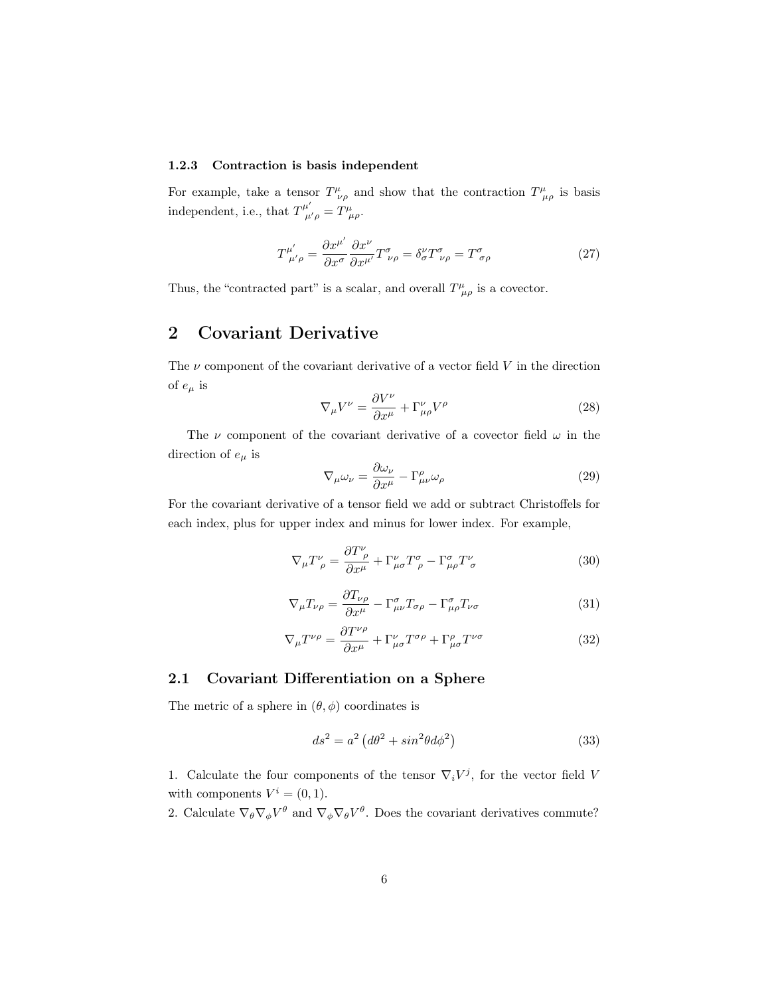### <span id="page-5-0"></span>1.2.3 Contraction is basis independent

For example, take a tensor  $T^{\mu}_{\ \nu\rho}$  and show that the contraction  $T^{\mu}_{\ \mu\rho}$  is basis independent, i.e., that  $T^{\mu'}_{\mu'\rho} = T^{\mu}_{\mu\rho}$ .

$$
T^{\mu'}_{\ \mu'\rho} = \frac{\partial x^{\mu'}}{\partial x^{\sigma}} \frac{\partial x^{\nu}}{\partial x^{\mu'}} T^{\sigma}_{\ \nu\rho} = \delta^{\nu}_{\sigma} T^{\sigma}_{\ \nu\rho} = T^{\sigma}_{\ \sigma\rho} \tag{27}
$$

Thus, the "contracted part" is a scalar, and overall  $T^{\mu}_{\mu\rho}$  is a covector.

### <span id="page-5-1"></span>2 Covariant Derivative

The  $\nu$  component of the covariant derivative of a vector field  $V$  in the direction of  $e_{\mu}$  is

$$
\nabla_{\mu}V^{\nu} = \frac{\partial V^{\nu}}{\partial x^{\mu}} + \Gamma^{\nu}_{\mu\rho}V^{\rho}
$$
\n(28)

The  $\nu$  component of the covariant derivative of a covector field  $\omega$  in the direction of  $e_\mu$  is

$$
\nabla_{\mu}\omega_{\nu} = \frac{\partial \omega_{\nu}}{\partial x^{\mu}} - \Gamma^{\rho}_{\mu\nu}\omega_{\rho}
$$
\n(29)

For the covariant derivative of a tensor field we add or subtract Christoffels for each index, plus for upper index and minus for lower index. For example,

$$
\nabla_{\mu}T^{\nu}_{\ \rho} = \frac{\partial T^{\nu}_{\ \rho}}{\partial x^{\mu}} + \Gamma^{\nu}_{\mu\sigma}T^{\sigma}_{\ \rho} - \Gamma^{\sigma}_{\mu\rho}T^{\nu}_{\ \sigma} \tag{30}
$$

$$
\nabla_{\mu} T_{\nu \rho} = \frac{\partial T_{\nu \rho}}{\partial x^{\mu}} - \Gamma^{\sigma}_{\mu \nu} T_{\sigma \rho} - \Gamma^{\sigma}_{\mu \rho} T_{\nu \sigma}
$$
(31)

$$
\nabla_{\mu}T^{\nu\rho} = \frac{\partial T^{\nu\rho}}{\partial x^{\mu}} + \Gamma^{\nu}_{\mu\sigma}T^{\sigma\rho} + \Gamma^{\rho}_{\mu\sigma}T^{\nu\sigma}
$$
(32)

### <span id="page-5-2"></span>2.1 Covariant Differentiation on a Sphere

The metric of a sphere in  $(\theta, \phi)$  coordinates is

$$
ds^2 = a^2 \left(d\theta^2 + \sin^2\theta d\phi^2\right) \tag{33}
$$

1. Calculate the four components of the tensor  $\nabla_i V^j$ , for the vector field V with components  $V^i = (0, 1)$ .

2. Calculate  $\nabla_{\theta} \nabla_{\phi} V^{\theta}$  and  $\nabla_{\phi} \nabla_{\theta} V^{\theta}$ . Does the covariant derivatives commute?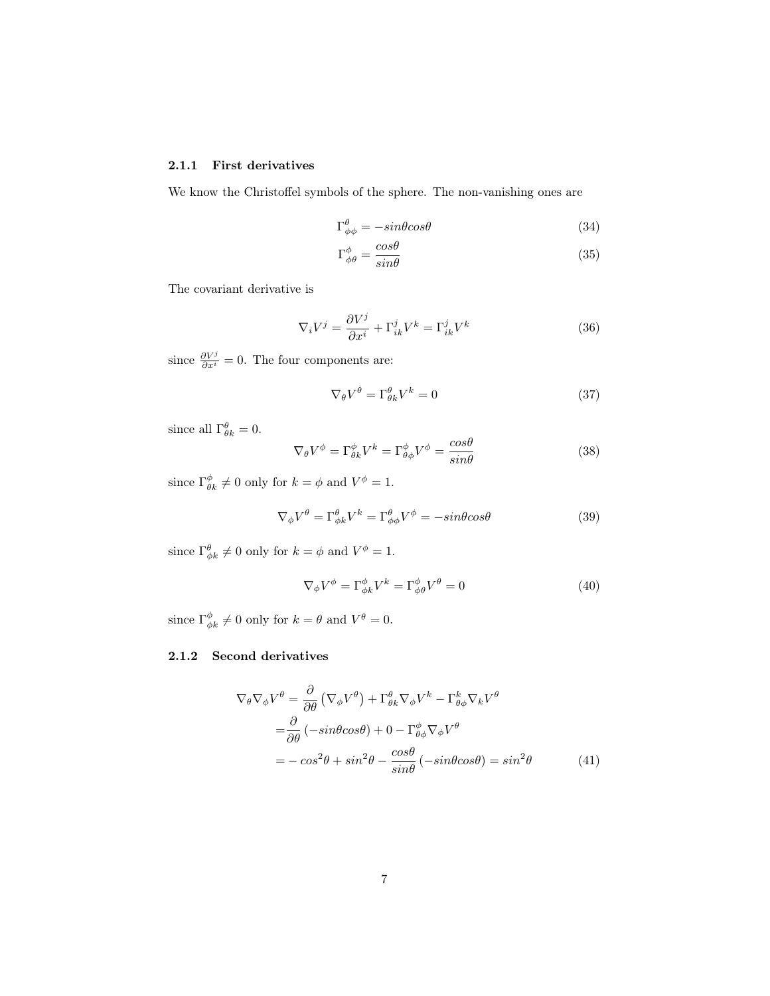### <span id="page-6-0"></span>2.1.1 First derivatives

We know the Christoffel symbols of the sphere. The non-vanishing ones are

$$
\Gamma^{\theta}_{\phi\phi} = -\sin\theta\cos\theta\tag{34}
$$

$$
\Gamma^{\phi}_{\phi\theta} = \frac{\cos\theta}{\sin\theta} \tag{35}
$$

The covariant derivative is

$$
\nabla_i V^j = \frac{\partial V^j}{\partial x^i} + \Gamma^j_{ik} V^k = \Gamma^j_{ik} V^k
$$
\n(36)

since  $\frac{\partial V^j}{\partial x^i} = 0$ . The four components are:

$$
\nabla_{\theta} V^{\theta} = \Gamma^{\theta}_{\theta k} V^{k} = 0 \tag{37}
$$

since all  $\Gamma^{\theta}_{\theta k} = 0$ .

$$
\nabla_{\theta} V^{\phi} = \Gamma^{\phi}_{\theta k} V^{k} = \Gamma^{\phi}_{\theta \phi} V^{\phi} = \frac{\cos \theta}{\sin \theta}
$$
 (38)

since  $\Gamma^{\phi}_{\theta k} \neq 0$  only for  $k = \phi$  and  $V^{\phi} = 1$ .

$$
\nabla_{\phi} V^{\theta} = \Gamma^{\theta}_{\phi k} V^{k} = \Gamma^{\theta}_{\phi \phi} V^{\phi} = -\sin \theta \cos \theta
$$
 (39)

since  $\Gamma^{\theta}_{\phi k} \neq 0$  only for  $k = \phi$  and  $V^{\phi} = 1$ .

$$
\nabla_{\phi} V^{\phi} = \Gamma^{\phi}_{\phi k} V^{k} = \Gamma^{\phi}_{\phi \theta} V^{\theta} = 0
$$
\n(40)

since  $\Gamma^{\phi}_{\phi k} \neq 0$  only for  $k = \theta$  and  $V^{\theta} = 0$ .

### <span id="page-6-1"></span>2.1.2 Second derivatives

$$
\nabla_{\theta} \nabla_{\phi} V^{\theta} = \frac{\partial}{\partial \theta} \left( \nabla_{\phi} V^{\theta} \right) + \Gamma^{\theta}_{\theta k} \nabla_{\phi} V^{k} - \Gamma^k_{\theta \phi} \nabla_{k} V^{\theta}
$$
  
\n
$$
= \frac{\partial}{\partial \theta} \left( -\sin \theta \cos \theta \right) + 0 - \Gamma^{\phi}_{\theta \phi} \nabla_{\phi} V^{\theta}
$$
  
\n
$$
= -\cos^{2} \theta + \sin^{2} \theta - \frac{\cos \theta}{\sin \theta} \left( -\sin \theta \cos \theta \right) = \sin^{2} \theta
$$
 (41)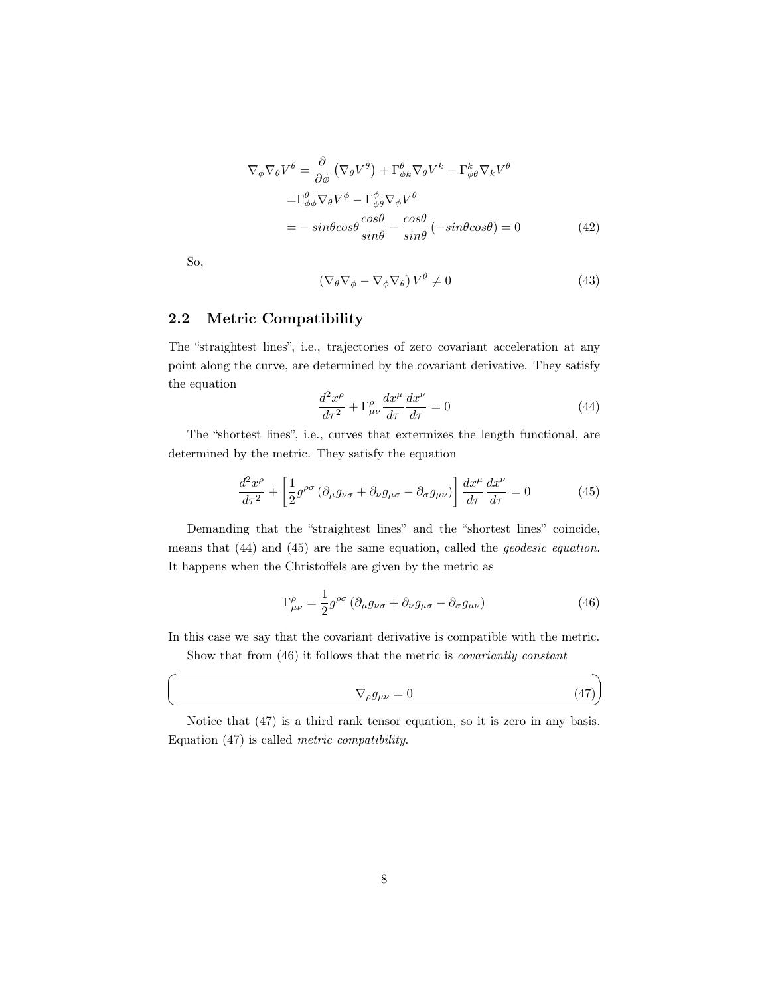$$
\nabla_{\phi} \nabla_{\theta} V^{\theta} = \frac{\partial}{\partial \phi} \left( \nabla_{\theta} V^{\theta} \right) + \Gamma^{\theta}_{\phi k} \nabla_{\theta} V^{k} - \Gamma^k_{\phi \theta} \nabla_{k} V^{\theta}
$$

$$
= \Gamma^{\theta}_{\phi \phi} \nabla_{\theta} V^{\phi} - \Gamma^{\phi}_{\phi \theta} \nabla_{\phi} V^{\theta}
$$

$$
= -\sin\theta \cos\theta \frac{\cos\theta}{\sin\theta} - \frac{\cos\theta}{\sin\theta} \left( -\sin\theta \cos\theta \right) = 0 \tag{42}
$$

So,

☛

 $\searrow$ 

$$
\left(\nabla_{\theta}\nabla_{\phi} - \nabla_{\phi}\nabla_{\theta}\right)V^{\theta} \neq 0\tag{43}
$$

### <span id="page-7-0"></span>2.2 Metric Compatibility

The "straightest lines", i.e., trajectories of zero covariant acceleration at any point along the curve, are determined by the covariant derivative. They satisfy the equation

<span id="page-7-1"></span>
$$
\frac{d^2x^{\rho}}{d\tau^2} + \Gamma^{\rho}_{\mu\nu}\frac{dx^{\mu}}{d\tau}\frac{dx^{\nu}}{d\tau} = 0
$$
\n(44)

The "shortest lines", i.e., curves that extermizes the length functional, are determined by the metric. They satisfy the equation

<span id="page-7-2"></span>
$$
\frac{d^2x^{\rho}}{d\tau^2} + \left[\frac{1}{2}g^{\rho\sigma} \left(\partial_{\mu}g_{\nu\sigma} + \partial_{\nu}g_{\mu\sigma} - \partial_{\sigma}g_{\mu\nu}\right)\right] \frac{dx^{\mu}}{d\tau} \frac{dx^{\nu}}{d\tau} = 0 \tag{45}
$$

Demanding that the "straightest lines" and the "shortest lines" coincide, means that [\(44\)](#page-7-1) and [\(45\)](#page-7-2) are the same equation, called the geodesic equation. It happens when the Christoffels are given by the metric as

<span id="page-7-3"></span>
$$
\Gamma^{\rho}_{\mu\nu} = \frac{1}{2} g^{\rho\sigma} \left( \partial_{\mu} g_{\nu\sigma} + \partial_{\nu} g_{\mu\sigma} - \partial_{\sigma} g_{\mu\nu} \right) \tag{46}
$$

In this case we say that the covariant derivative is compatible with the metric. Show that from [\(46\)](#page-7-3) it follows that the metric is covariantly constant

<span id="page-7-4"></span>
$$
\nabla_{\rho}g_{\mu\nu} = 0 \tag{47}
$$

✠

Notice that [\(47\)](#page-7-4) is a third rank tensor equation, so it is zero in any basis. Equation [\(47\)](#page-7-4) is called metric compatibility.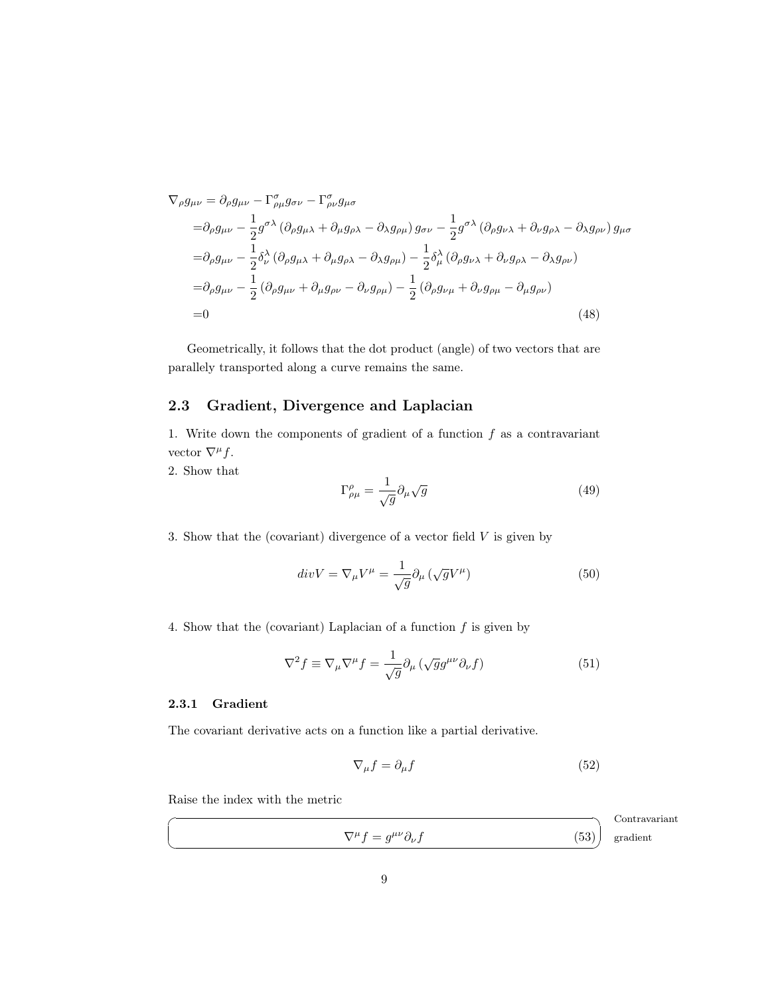$$
\nabla_{\rho}g_{\mu\nu} = \partial_{\rho}g_{\mu\nu} - \Gamma^{\sigma}_{\rho\mu}g_{\sigma\nu} - \Gamma^{\sigma}_{\rho\nu}g_{\mu\sigma}
$$
  
\n
$$
= \partial_{\rho}g_{\mu\nu} - \frac{1}{2}g^{\sigma\lambda} (\partial_{\rho}g_{\mu\lambda} + \partial_{\mu}g_{\rho\lambda} - \partial_{\lambda}g_{\rho\mu})g_{\sigma\nu} - \frac{1}{2}g^{\sigma\lambda} (\partial_{\rho}g_{\nu\lambda} + \partial_{\nu}g_{\rho\lambda} - \partial_{\lambda}g_{\rho\nu})g_{\mu\sigma}
$$
  
\n
$$
= \partial_{\rho}g_{\mu\nu} - \frac{1}{2}\delta^{\lambda}_{\nu} (\partial_{\rho}g_{\mu\lambda} + \partial_{\mu}g_{\rho\lambda} - \partial_{\lambda}g_{\rho\mu}) - \frac{1}{2}\delta^{\lambda}_{\mu} (\partial_{\rho}g_{\nu\lambda} + \partial_{\nu}g_{\rho\lambda} - \partial_{\lambda}g_{\rho\nu})
$$
  
\n
$$
= \partial_{\rho}g_{\mu\nu} - \frac{1}{2} (\partial_{\rho}g_{\mu\nu} + \partial_{\mu}g_{\rho\nu} - \partial_{\nu}g_{\rho\mu}) - \frac{1}{2} (\partial_{\rho}g_{\nu\mu} + \partial_{\nu}g_{\rho\mu} - \partial_{\mu}g_{\rho\nu})
$$
  
\n
$$
= 0
$$
\n(48)

Geometrically, it follows that the dot product (angle) of two vectors that are parallely transported along a curve remains the same.

### <span id="page-8-0"></span>2.3 Gradient, Divergence and Laplacian

1. Write down the components of gradient of a function  $f$  as a contravariant vector  $\nabla^{\mu} f$ .

2. Show that

<span id="page-8-2"></span>
$$
\Gamma^{\rho}_{\rho\mu} = \frac{1}{\sqrt{g}} \partial_{\mu} \sqrt{g} \tag{49}
$$

3. Show that the (covariant) divergence of a vector field  $V$  is given by

$$
div V = \nabla_{\mu} V^{\mu} = \frac{1}{\sqrt{g}} \partial_{\mu} \left( \sqrt{g} V^{\mu} \right)
$$
 (50)

4. Show that the (covariant) Laplacian of a function  $f$  is given by

$$
\nabla^2 f \equiv \nabla_\mu \nabla^\mu f = \frac{1}{\sqrt{g}} \partial_\mu \left( \sqrt{g} g^{\mu\nu} \partial_\nu f \right) \tag{51}
$$

### <span id="page-8-1"></span>2.3.1 Gradient

☛

 $\searrow$ 

The covariant derivative acts on a function like a partial derivative.

<span id="page-8-3"></span>
$$
\nabla_{\mu}f = \partial_{\mu}f \tag{52}
$$

Raise the index with the metric

$$
\nabla^{\mu} f = g^{\mu\nu} \partial_{\nu} f \qquad (53)
$$
 Contravariant  
gradient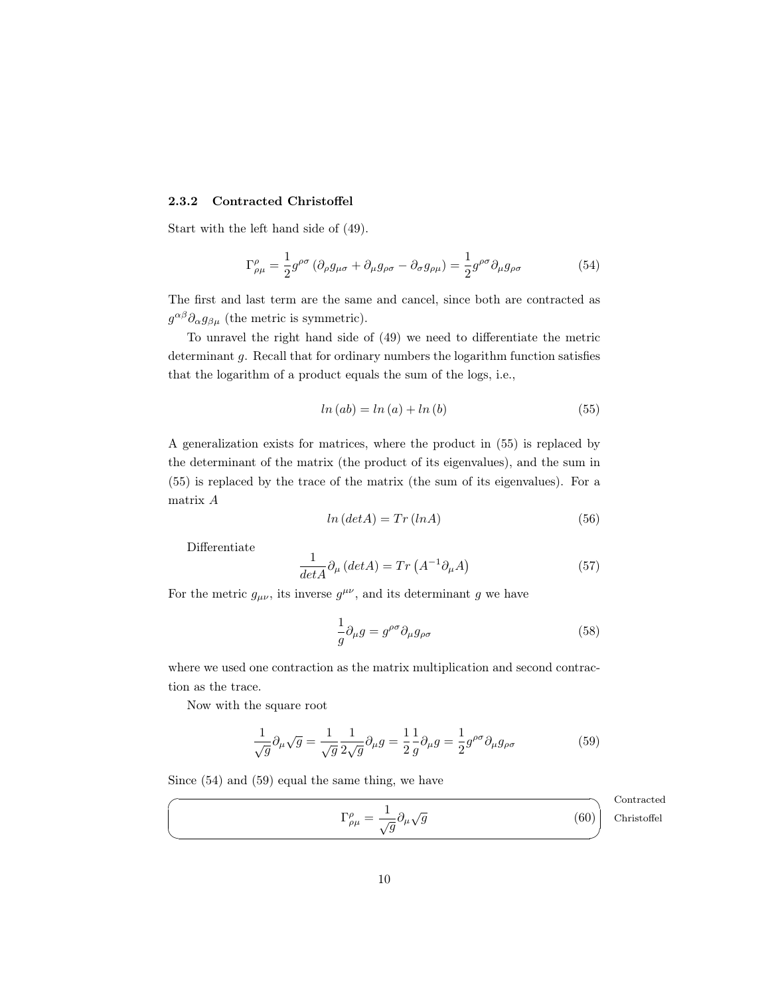### <span id="page-9-0"></span>2.3.2 Contracted Christoffel

Start with the left hand side of [\(49\)](#page-8-2).

<span id="page-9-2"></span>
$$
\Gamma^{\rho}_{\rho\mu} = \frac{1}{2} g^{\rho\sigma} \left( \partial_{\rho} g_{\mu\sigma} + \partial_{\mu} g_{\rho\sigma} - \partial_{\sigma} g_{\rho\mu} \right) = \frac{1}{2} g^{\rho\sigma} \partial_{\mu} g_{\rho\sigma}
$$
(54)

The first and last term are the same and cancel, since both are contracted as  $g^{\alpha\beta}\partial_{\alpha}g_{\beta\mu}$  (the metric is symmetric).

To unravel the right hand side of [\(49\)](#page-8-2) we need to differentiate the metric determinant g. Recall that for ordinary numbers the logarithm function satisfies that the logarithm of a product equals the sum of the logs, i.e.,

<span id="page-9-1"></span>
$$
ln (ab) = ln (a) + ln (b)
$$
\n
$$
(55)
$$

A generalization exists for matrices, where the product in [\(55\)](#page-9-1) is replaced by the determinant of the matrix (the product of its eigenvalues), and the sum in [\(55\)](#page-9-1) is replaced by the trace of the matrix (the sum of its eigenvalues). For a matrix A

$$
ln (det A) = Tr (ln A)
$$
\n(56)

Differentiate

$$
\frac{1}{\det A} \partial_{\mu} (\det A) = Tr (A^{-1} \partial_{\mu} A) \tag{57}
$$

For the metric  $g_{\mu\nu}$ , its inverse  $g^{\mu\nu}$ , and its determinant g we have

$$
\frac{1}{g}\partial_{\mu}g = g^{\rho\sigma}\partial_{\mu}g_{\rho\sigma} \tag{58}
$$

where we used one contraction as the matrix multiplication and second contraction as the trace.

Now with the square root

<span id="page-9-4"></span><span id="page-9-3"></span>
$$
\frac{1}{\sqrt{g}}\partial_{\mu}\sqrt{g} = \frac{1}{\sqrt{g}}\frac{1}{2\sqrt{g}}\partial_{\mu}g = \frac{1}{2}\frac{1}{g}\partial_{\mu}g = \frac{1}{2}g^{\rho\sigma}\partial_{\mu}g_{\rho\sigma}
$$
(59)

Since [\(54\)](#page-9-2) and [\(59\)](#page-9-3) equal the same thing, we have

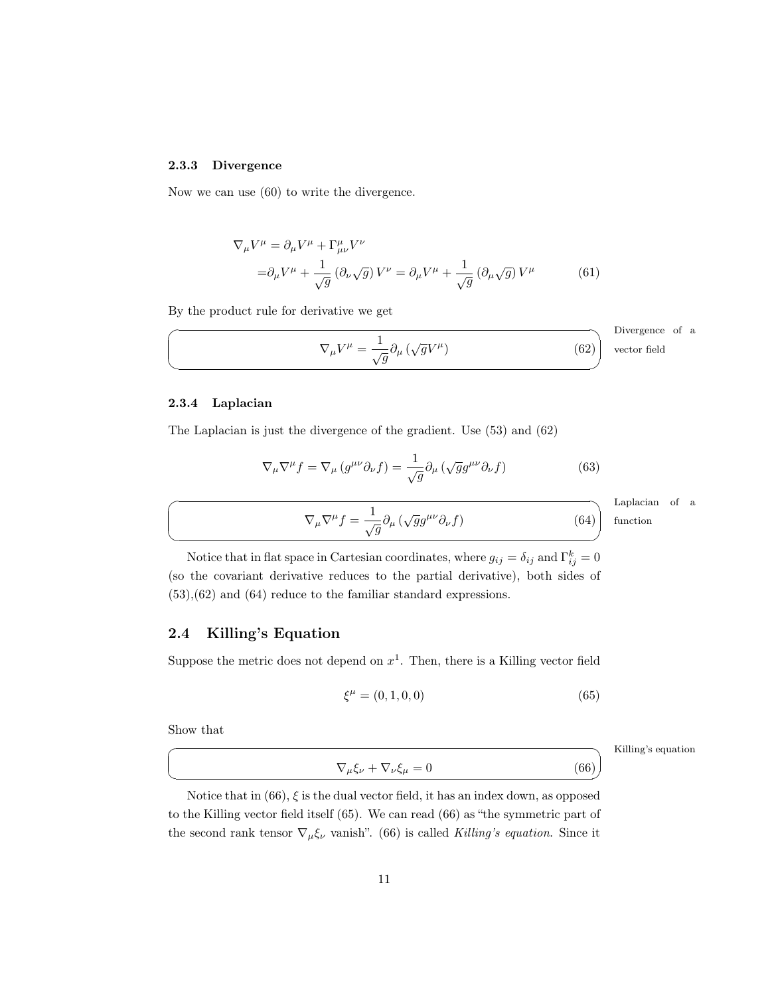### <span id="page-10-0"></span>2.3.3 Divergence

Now we can use [\(60\)](#page-9-4) to write the divergence.

<span id="page-10-3"></span>
$$
\nabla_{\mu}V^{\mu} = \partial_{\mu}V^{\mu} + \Gamma^{\mu}_{\mu\nu}V^{\nu}
$$
  
=  $\partial_{\mu}V^{\mu} + \frac{1}{\sqrt{g}} (\partial_{\nu}\sqrt{g})V^{\nu} = \partial_{\mu}V^{\mu} + \frac{1}{\sqrt{g}} (\partial_{\mu}\sqrt{g})V^{\mu}$  (61)

By the product rule for derivative we get

$$
\nabla_{\mu}V^{\mu} = \frac{1}{\sqrt{g}} \partial_{\mu} (\sqrt{g}V^{\mu})
$$
 Divergence of a vector field

<span id="page-10-1"></span>2.3.4 Laplacian

 $\overline{\phantom{0}}$ 

The Laplacian is just the divergence of the gradient. Use [\(53\)](#page-8-3) and [\(62\)](#page-10-3)

$$
\nabla_{\mu}\nabla^{\mu}f = \nabla_{\mu}\left(g^{\mu\nu}\partial_{\nu}f\right) = \frac{1}{\sqrt{g}}\partial_{\mu}\left(\sqrt{g}g^{\mu\nu}\partial_{\nu}f\right)
$$
(63)

<span id="page-10-4"></span> $\nabla_{\mu}\nabla^{\mu}f = \frac{1}{\sqrt{g}}\partial_{\mu}(\sqrt{g}g^{\mu\nu}\partial_{\nu}f)$ (64)

Laplacian of a function

✍ Notice that in flat space in Cartesian coordinates, where  $g_{ij} = \delta_{ij}$  and  $\Gamma_{ij}^k = 0$ (so the covariant derivative reduces to the partial derivative), both sides of [\(53\)](#page-8-3),[\(62\)](#page-10-3) and [\(64\)](#page-10-4) reduce to the familiar standard expressions.

### <span id="page-10-2"></span>2.4 Killing's Equation

Suppose the metric does not depend on  $x<sup>1</sup>$ . Then, there is a Killing vector field

<span id="page-10-6"></span>
$$
\xi^{\mu} = (0, 1, 0, 0) \tag{65}
$$

Show that

 $\overline{C}$ 

 $\searrow$ 

<span id="page-10-5"></span> $\nabla_{\mu}\xi_{\nu} + \nabla_{\nu}\xi_{\mu} = 0$ (66)

Killing's equation

Notice that in  $(66)$ ,  $\xi$  is the dual vector field, it has an index down, as opposed to the Killing vector field itself [\(65\)](#page-10-6). We can read [\(66\)](#page-10-5) as "the symmetric part of the second rank tensor  $\nabla_{\mu} \xi_{\nu}$  vanish". [\(66\)](#page-10-5) is called Killing's equation. Since it